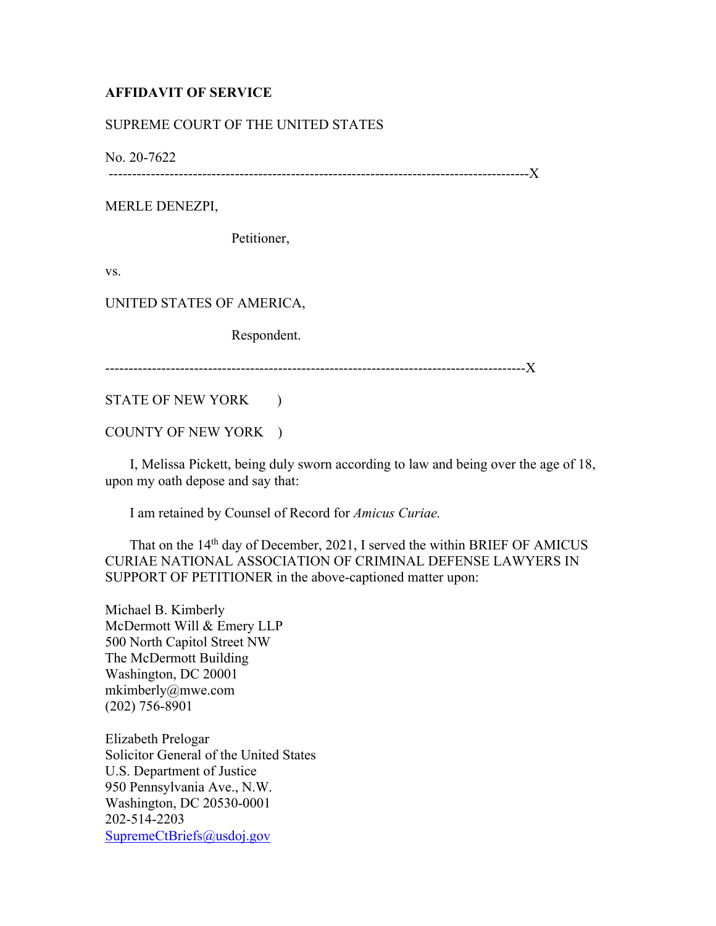## **AFFIDAVIT OF SERVICE**

## SUPREME COURT OF THE UNITED STATES

No. 20-7622

------------------------------------------------------------------------------------------X

MERLE DENEZPI,

Petitioner,

vs.

UNITED STATES OF AMERICA,

Respondent.

------------------------------------------------------------------------------------------X

STATE OF NEW YORK )

COUNTY OF NEW YORK )

 I, Melissa Pickett, being duly sworn according to law and being over the age of 18, upon my oath depose and say that:

I am retained by Counsel of Record for *Amicus Curiae.*

That on the 14<sup>th</sup> day of December, 2021, I served the within BRIEF OF AMICUS CURIAE NATIONAL ASSOCIATION OF CRIMINAL DEFENSE LAWYERS IN SUPPORT OF PETITIONER in the above-captioned matter upon:

Michael B. Kimberly McDermott Will & Emery LLP 500 North Capitol Street NW The McDermott Building Washington, DC 20001 mkimberly@mwe.com (202) 756-8901

Elizabeth Prelogar Solicitor General of the United States U.S. Department of Justice 950 Pennsylvania Ave., N.W. Washington, DC 20530-0001 202-514-2203 SupremeCtBriefs@usdoj.gov